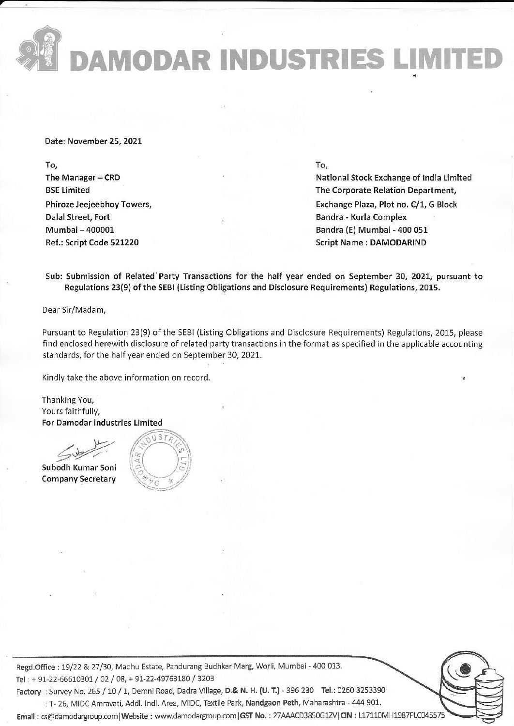DAMODAR INDUSTRIES LIMITE

Date: November 25, 2021

To, The Manager-CRD BSE Limited Phiroze Jeejeebhoy Towers, Dalal Street, Fort Mumbai - 400001 Ref,: Script Code 521220

To,

National Stock Exchange of lndia timited The Corporate Relation Department, Exchange Plaza, Plot no. C/1, G Block Bandra - Kurla Complex Bandra {E) Mumbai- 400 o51 Script Name : DAMODARIND

Sub: Submission of Related'Party Transactions for the hall year ended on September 30,2021, pursuant to Regulations 23(9) ofthe SEBI (Listing Obligations and Disclosure Requirements) Regulations, 2015.

Dear Sir/Madam,

Pursuant to Regulation 23(9) of the SEBI (Listing Obligations and Disclosure Requirements) Regulations, 2015, please find enclosed herewith disclosure of related party transactions in the format as specified in the applicable accounting standards, for the half year ended on September 30, 2021.

Kindly take the above information on record.

Thanking You, Yours faithfully, For Damodar industries Limited

For Damodar Indust<br>Subodh Kumar Soni

**Company Secretary** 



Regd.Office: 19/22 & 27/30, Madhu Estate, Pandurang Budhkar Marg, Worli, Mumbai - 400 013. Tel: + 91-22-66610301 / 02 / 08, + 91-22-49763180 / 3203

Factory : Survey No. 265 / 10 / 1, Demni Road, Dadra Village, D.& N. H. (U. T.) - 396 230 Tel.: 0260 3253390 : T- 26, MIDC Amravati, Addl. Indl. Area, MIDC, Textile Park, Nandgaon Peth, Maharashtra - 444 901.

Email : cs@damodargroup.com | Website : www.damodargroup.com | GST No. : 27AAACD3850G1ZV | CIN : L17110MH1987PLC045579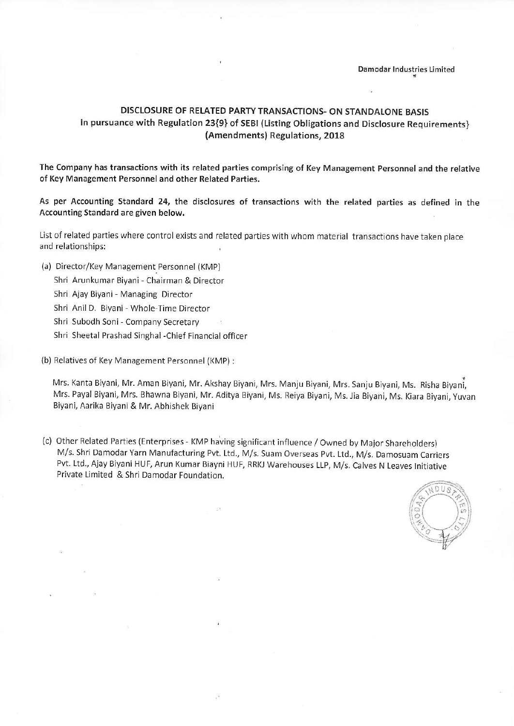## DISCLOSURE OF RELATED PARTY TRANSACTIONS- ON STANDALONE BASIS In pursuance with Regulation 23{9} of SEBI (Listing Obligations and Disclosure Requirements} (Amendments) Regulations, 2018

The Company has transactions with its related parties comprising of Key Management Personnel and the relative of Key Management Personnel and other Related Parties.

As per Accounting Standard 24, the disclosures of transactions with the related parties as defined in the Accounting Standard are given below.

List of related parties where control exists and related parties with whom material transactions have taken place and relationships:

- (a) Director/Key Management Personnel (KMP)
	- Shri Arunkumar Biyani Chairman & Director

Shri Ajay Biyani- Managing Director

Shri Anil D. Biyani- Whole Time Director

- Shri Subodh Soni Company Secretary
- Shri Sheetal Prashad Singhal -Chief Financial officer

(b) Relatives of Key Management Personnel {KMP) :

Mrs. Kanta Biyani, Mr. Aman Biyani, Mr. Akshay Biyani, Mrs. Manju Biyani, Mrs. Sanju Biyani, Ms. Risha Biyani, Mrs. Payal Biyani, Mrs. Bhawna Biyani, Mr. Aditya Biyani, Ms. Reiya Biyani, Ms. tia Biyani, Ms. Kiara Biyani, yuvan Biyani, Aarika Biyani & Mr. Abhishek Biyani

(c) Other Related Parties (Enterprises - KMP having significant influence / Owned by Major Shareholders) M/s. Shri Damodar Yarn Manufacturing Pvt. Ltd., M/s. Suam Overseas Pvt. Ltd., M/s. Damosuam Carriers Pvt. Ltd., Ajay Biyani HUF, Arun Kumar Biayni HUF, RRKJ Warehouses LLP, M/s. Calves N Leaves Initiative Private Limited & Shri Damodar Foundation.

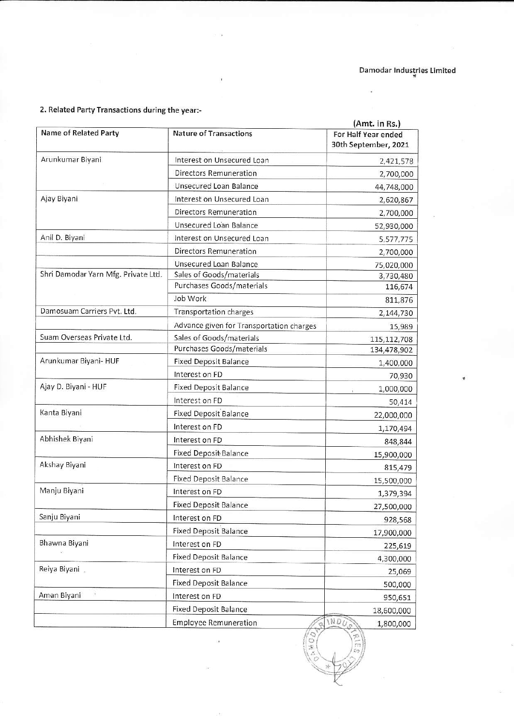## 2. Related Party Transactions during the year:-

|                                     |                                                              | (Amt. in Rs.)                               |
|-------------------------------------|--------------------------------------------------------------|---------------------------------------------|
| Name of Related Party               | <b>Nature of Transactions</b>                                | For Half Year ended<br>30th September, 2021 |
| Arunkumar Biyani                    | Interest on Unsecured Loan                                   | 2,421,578                                   |
|                                     | Directors Remuneration                                       | 2,700,000                                   |
|                                     | Unsecured Loan Balance                                       | 44,748,000                                  |
| Ajay Biyani                         | Interest on Unsecured Loan                                   | 2,620,867                                   |
|                                     | <b>Directors Remuneration</b>                                | 2,700,000                                   |
|                                     | Unsecured Loan Balance                                       | 52,930,000                                  |
| Anil D. Biyani                      | Interest on Unsecured Loan                                   | 5,577,775                                   |
|                                     | Directors Remuneration                                       | 2,700,000                                   |
|                                     | Unsecured Loan Balance                                       | 75,020,000                                  |
| Shri Damodar Yarn Mfg. Private Ltd. | Sales of Goods/materials                                     | 3,730,480                                   |
|                                     | Purchases Goods/materials                                    | 116,674                                     |
|                                     | Job Work                                                     | 811,876                                     |
| Damosuam Carriers Pvt. Ltd.         | Transportation charges                                       | 2,144,730                                   |
|                                     | Advance given for Transportation charges                     | 15,989                                      |
| Suam Overseas Private Ltd.          | Sales of Goods/materials                                     | 115, 112, 708                               |
|                                     | Purchases Goods/materials                                    | 134,478,902                                 |
| Arunkumar Biyani- HUF               | <b>Fixed Deposit Balance</b>                                 | 1,400,000                                   |
|                                     | Interest on FD                                               | 70,930                                      |
| Ajay D. Biyani - HUF                | <b>Fixed Deposit Balance</b>                                 | 1,000,000                                   |
|                                     | Interest on FD                                               | 50,414                                      |
| Kanta Biyani                        | <b>Fixed Deposit Balance</b>                                 | 22,000,000                                  |
|                                     | Interest on FD                                               | 1,170,494                                   |
| Abhishek Biyani                     | Interest on FD                                               | 848,844                                     |
|                                     | <b>Fixed Deposit Balance</b>                                 | 15,900,000                                  |
| Akshay Biyani                       | Interest on FD                                               | 815,479                                     |
|                                     | <b>Fixed Deposit Balance</b>                                 | 15,500,000                                  |
| Manju Biyani                        | Interest on FD                                               | 1,379,394                                   |
|                                     | <b>Fixed Deposit Balance</b>                                 | 27,500,000                                  |
| Sanju Biyani                        | Interest on FD                                               | 928,568                                     |
|                                     | <b>Fixed Deposit Balance</b>                                 | 17,900,000                                  |
| Bhawna Biyani                       | Interest on FD                                               | 225,619                                     |
|                                     | <b>Fixed Deposit Balance</b>                                 |                                             |
| Reiya Biyani                        | Interest on FD                                               | 4,300,000                                   |
|                                     | <b>Fixed Deposit Balance</b>                                 | 25,069                                      |
| Aman Biyani                         | Interest on FD                                               | 500,000                                     |
|                                     |                                                              | 950,651                                     |
|                                     | <b>Fixed Deposit Balance</b><br><b>Employee Remuneration</b> | 18,600,000<br><b>INDU</b><br>1,800,000      |